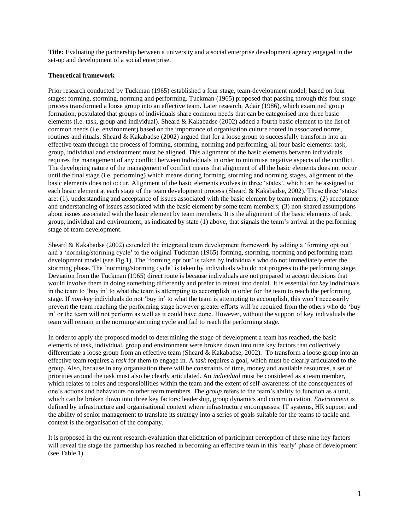**Title:** Evaluating the partnership between a university and a social enterprise development agency engaged in the set-up and development of a social enterprise.

#### **Theoretical framework**

Prior research conducted by Tuckman (1965) established a four stage, team-development model, based on four stages: forming, storming, norming and performing. Tuckman (1965) proposed that passing through this four stage process transformed a loose group into an effective team. Later research, Adair (1986), which examined group formation, postulated that groups of individuals share common needs that can be categorised into three basic elements (i.e. task, group and individual). Sheard & Kakabadse (2002) added a fourth basic element to the list of common needs (i.e. environment) based on the importance of organisation culture rooted in associated norms, routines and rituals. Sheard & Kakabadse (2002) argued that for a loose group to successfully transform into an effective team through the process of forming, storming, norming and performing, all four basic elements: task, group, individual and environment must be aligned. This alignment of the basic elements between individuals requires the management of any conflict between individuals in order to minimise negative aspects of the conflict. The developing nature of the management of conflict means that alignment of all the basic elements does not occur until the final stage (i.e. performing) which means during forming, storming and norming stages, alignment of the basic elements does not occur. Alignment of the basic elements evolves in three 'states', which can be assigned to each basic element at each stage of the team development process (Sheard & Kakabadse, 2002). These three 'states' are: (1). understanding and acceptance of issues associated with the basic element by team members; (2) acceptance and understanding of issues associated with the basic element by some team members; (3) non-shared assumptions about issues associated with the basic element by team members. It is the alignment of the basic elements of task, group, individual and environment, as indicated by state (1) above, that signals the team's arrival at the performing stage of team development.

Sheard & Kakabadse (2002) extended the integrated team development framework by adding a 'forming opt out' and a 'norming/storming cycle' to the original Tuckman (1965) forming, storming, norming and performing team development model (see Fig.1). The 'forming opt out' is taken by individuals who do not immediately enter the storming phase. The 'norming/storming cycle' is taken by individuals who do not progress to the performing stage. Deviation from the Tuckman (1965) direct route is because individuals are not prepared to accept decisions that would involve them in doing something differently and prefer to retreat into denial. It is essential for *key* individuals in the team to 'buy in' to what the team is attempting to accomplish in order for the team to reach the performing stage. If *non-key* individuals do not 'buy in' to what the team is attempting to accomplish, this won't necessarily prevent the team reaching the performing stage however greater efforts will be required from the others who do 'buy in' or the team will not perform as well as it could have done. However, without the support of key individuals the team will remain in the norming/storming cycle and fail to reach the performing stage.

In order to apply the proposed model to determining the stage of development a team has reached, the basic elements of task, individual, group and environment were broken down into nine key factors that collectively differentiate a loose group from an effective team (Sheard & Kakabadse, 2002). To transform a loose group into an effective team requires a *task* for them to engage in. A *task* requires a goal, which must be clearly articulated to the group. Also, because in any organisation there will be constraints of time, money and available resources, a set of priorities around the task must also be clearly articulated. An *individual* must be considered as a team member, which relates to roles and responsibilities within the team and the extent of self-awareness of the consequences of one's actions and behaviours on other team members. The *group* refers to the team's ability to function as a unit, which can be broken down into three key factors: leadership, group dynamics and communication. *Environment* is defined by infrastructure and organisational context where infrastructure encompasses: IT systems, HR support and the ability of senior management to translate its strategy into a series of goals suitable for the teams to tackle and context is the organisation of the company.

It is proposed in the current research-evaluation that elicitation of participant perception of these nine key factors will reveal the stage the partnership has reached in becoming an effective team in this 'early' phase of development (see Table 1).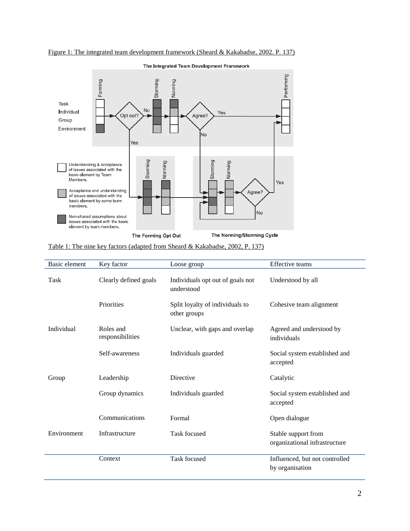

Figure 1: The integrated team development framework (Sheard & Kakabadse, 2002. P. 137)

| Table 1: The nine key factors (adapted from Sheard & Kakabadse, 2002, P. 137) |  |  |  |
|-------------------------------------------------------------------------------|--|--|--|
|                                                                               |  |  |  |

| Basic element | Key factor                    | Loose group                                     | Effective teams                                      |
|---------------|-------------------------------|-------------------------------------------------|------------------------------------------------------|
| Task          | Clearly defined goals         | Individuals opt out of goals not<br>understood  | Understood by all                                    |
|               | Priorities                    | Split loyalty of individuals to<br>other groups | Cohesive team alignment                              |
| Individual    | Roles and<br>responsibilities | Unclear, with gaps and overlap                  | Agreed and understood by<br>individuals              |
|               | Self-awareness                | Individuals guarded                             | Social system established and<br>accepted            |
| Group         | Leadership                    | <b>Directive</b>                                | Catalytic                                            |
|               | Group dynamics                | Individuals guarded                             | Social system established and<br>accepted            |
|               | Communications                | Formal                                          | Open dialogue                                        |
| Environment   | Infrastructure                | Task focused                                    | Stable support from<br>organizational infrastructure |
|               | Context                       | Task focused                                    | Influenced, but not controlled<br>by organisation    |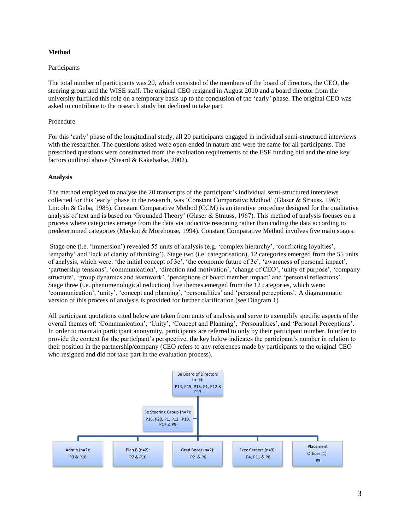# **Method**

# Participants

The total number of participants was 20, which consisted of the members of the board of directors, the CEO, the steering group and the WISE staff. The original CEO resigned in August 2010 and a board director from the university fulfilled this role on a temporary basis up to the conclusion of the 'early' phase. The original CEO was asked to contribute to the research study but declined to take part.

# Procedure

For this 'early' phase of the longitudinal study, all 20 participants engaged in individual semi-structured interviews with the researcher. The questions asked were open-ended in nature and were the same for all participants. The prescribed questions were constructed from the evaluation requirements of the ESF funding bid and the nine key factors outlined above (Sheard & Kakabadse, 2002).

### **Analysis**

The method employed to analyse the 20 transcripts of the participant's individual semi-structured interviews collected for this 'early' phase in the research, was 'Constant Comparative Method' (Glaser & Strauss, 1967; Lincoln & Guba, 1985). Constant Comparative Method (CCM) is an iterative procedure designed for the qualitative analysis of text and is based on 'Grounded Theory' (Glaser & Strauss, 1967). This method of analysis focuses on a process where categories emerge from the data via inductive reasoning rather than coding the data according to predetermined categories (Maykut & Morehouse, 1994). Constant Comparative Method involves five main stages:

Stage one (i.e. 'immersion') revealed 55 units of analysis (e.g. 'complex hierarchy', 'conflicting loyalties', 'empathy' and 'lack of clarity of thinking'). Stage two (i.e. categorisation), 12 categories emerged from the 55 units of analysis, which were: 'the initial concept of 3e', 'the economic future of 3e', 'awareness of personal impact', 'partnership tensions', 'communication', 'direction and motivation', 'change of CEO', 'unity of purpose', 'company structure', 'group dynamics and teamwork', 'perceptions of board member impact' and 'personal reflections'. Stage three (i.e. phenomenological reduction) five themes emerged from the 12 categories, which were: 'communication', 'unity', 'concept and planning', 'personalities' and 'personal perceptions'. A diagrammatic version of this process of analysis is provided for further clarification (see Diagram 1)

All participant quotations cited below are taken from units of analysis and serve to exemplify specific aspects of the overall themes of: 'Communication', 'Unity', 'Concept and Planning', 'Personalities', and 'Personal Perceptions'. In order to maintain participant anonymity, participants are referred to only by their participant number. In order to provide the context for the participant's perspective, the key below indicates the participant's number in relation to their position in the partnership/company (CEO refers to any references made by participants to the original CEO who resigned and did not take part in the evaluation process).

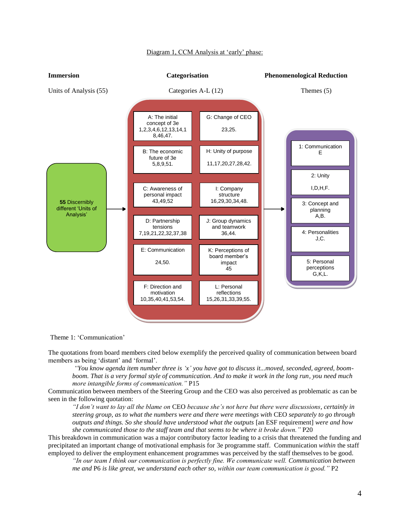

# Diagram 1, CCM Analysis at 'early' phase:

Theme 1: 'Communication'

The quotations from board members cited below exemplify the perceived quality of communication between board members as being 'distant' and 'formal'.

*"You know agenda item number three is "x" you have got to discuss it...moved, seconded, agreed, boomboom. That is a very formal style of communication. And to make it work in the long run, you need much more intangible forms of communication."* P15

Communication between members of the Steering Group and the CEO was also perceived as problematic as can be seen in the following quotation:

*"I don"t want to lay all the blame on* CEO *because she"s not here but there were discussions, certainly in steering group, as to what the numbers were and there were meetings with* CEO *separately to go through outputs and things. So she should have understood what the outputs* [an ESF requirement] *were and how she communicated those to the staff team and that seems to be where it broke down."* P20

This breakdown in communication was a major contributory factor leading to a crisis that threatened the funding and precipitated an important change of motivational emphasis for 3e programme staff. Communication *within* the staff employed to deliver the employment enhancement programmes was perceived by the staff themselves to be good.

*"In our team I think our communication is perfectly fine. We communicate well. Communication between me and* P6 *is like great, we understand each other so, within our team communication is good."* P2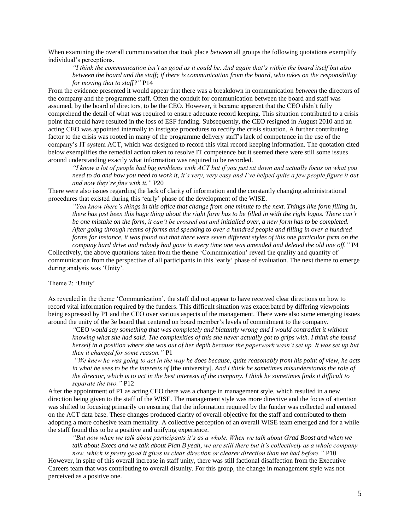When examining the overall communication that took place *between* all groups the following quotations exemplify individual's perceptions.

*"I think the communication isn"t as good as it could be. And again that"s within the board itself but also between the board and the staff; if there is communication from the board, who takes on the responsibility for moving that to staff?"* P14

From the evidence presented it would appear that there was a breakdown in communication *between* the directors of the company and the programme staff. Often the conduit for communication between the board and staff was assumed, by the board of directors, to be the CEO. However, it became apparent that the CEO didn't fully comprehend the detail of what was required to ensure adequate record keeping. This situation contributed to a crisis point that could have resulted in the loss of ESF funding. Subsequently, the CEO resigned in August 2010 and an acting CEO was appointed internally to instigate procedures to rectify the crisis situation. A further contributing factor to the crisis was rooted in many of the programme delivery staff's lack of competence in the use of the company's IT system ACT, which was designed to record this vital record keeping information. The quotation cited below exemplifies the remedial action taken to resolve IT competence but it seemed there were still some issues around understanding exactly what information was required to be recorded.

*"I know a lot of people had big problems with ACT but if you just sit down and actually focus on what you need to do and how you need to work it, it"s very, very easy and I"ve helped quite a few people figure it out and now they"re fine with it."* P20

There were also issues regarding the lack of clarity of information and the constantly changing administrational procedures that existed during this 'early' phase of the development of the WISE.

*"You know there"s things in this office that change from one minute to the next. Things like form filling in, there has just been this huge thing about the right form has to be filled in with the right logos. There can"t be one mistake on the form, it can"t be crossed out and initialled over, a new form has to be completed. After going through reams of forms and speaking to over a hundred people and filling in over a hundred forms for instance, it was found out that there were seven different styles of this one particular form on the company hard drive and nobody had gone in every time one was amended and deleted the old one off."* P4

Collectively, the above quotations taken from the theme 'Communication' reveal the quality and quantity of communication from the perspective of all participants in this 'early' phase of evaluation. The next theme to emerge during analysis was 'Unity'.

Theme 2: 'Unity'

As revealed in the theme 'Communication', the staff did not appear to have received clear directions on how to record vital information required by the funders. This difficult situation was exacerbated by differing viewpoints being expressed by P1 and the CEO over various aspects of the management. There were also some emerging issues around the unity of the 3e board that centered on board member's levels of commitment to the company.

*"*CEO *would say something that was completely and blatantly wrong and I would contradict it without knowing what she had said. The complexities of this she never actually got to grips with. I think she found herself in a position where she was out of her depth because the paperwork wasn"t set up. It was set up but then it changed for some reason."* P1

*"We knew he was going to act in the way he does because, quite reasonably from his point of view, he acts in what he sees to be the interests of* [the university]*. And I think he sometimes misunderstands the role of the director, which is to act in the best interests of the company. I think he sometimes finds it difficult to separate the two."* P12

After the appointment of P1 as acting CEO there was a change in management style, which resulted in a new direction being given to the staff of the WISE. The management style was more directive and the focus of attention was shifted to focusing primarily on ensuring that the information required by the funder was collected and entered on the ACT data base. These changes produced clarity of overall objective for the staff and contributed to them adopting a more cohesive team mentality. A collective perception of an overall WISE team emerged and for a while the staff found this to be a positive and unifying experience.

*"But now when we talk about participants it"s as a whole. When we talk about Grad Boost and when we*  talk about Execs and we talk about Plan B yeah, we are still there but it's collectively as a whole company *now, which is pretty good it gives us clear direction or clearer direction than we had before."* P10

However, in spite of this overall increase in staff unity, there was still factional disaffection from the Executive Careers team that was contributing to overall disunity. For this group, the change in management style was not perceived as a positive one.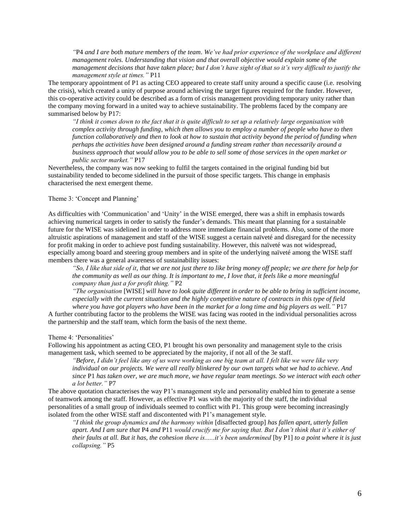*"*P4 *and I are both mature members of the team. We"ve had prior experience of the workplace and different management roles. Understanding that vision and that overall objective would explain some of the management decisions that have taken place; but I don"t have sight of that so it"s very difficult to justify the management style at times."* P11

The temporary appointment of P1 as acting CEO appeared to create staff unity around a specific cause (i.e. resolving the crisis), which created a unity of purpose around achieving the target figures required for the funder. However, this co-operative activity could be described as a form of crisis management providing temporary unity rather than the company moving forward in a united way to achieve sustainability. The problems faced by the company are summarised below by P17:

*"I think it comes down to the fact that it is quite difficult to set up a relatively large organisation with complex activity through funding, which then allows you to employ a number of people who have to then function collaboratively and then to look at how to sustain that activity beyond the period of funding when perhaps the activities have been designed around a funding stream rather than necessarily around a business approach that would allow you to be able to sell some of those services in the open market or public sector market."* P17

Nevertheless, the company was now seeking to fulfil the targets contained in the original funding bid but sustainability tended to become sidelined in the pursuit of those specific targets. This change in emphasis characterised the next emergent theme.

# Theme 3: 'Concept and Planning'

As difficulties with 'Communication' and 'Unity' in the WISE emerged, there was a shift in emphasis towards achieving numerical targets in order to satisfy the funder's demands. This meant that planning for a sustainable future for the WISE was sidelined in order to address more immediate financial problems. Also, some of the more altruistic aspirations of management and staff of the WISE suggest a certain naïveté and disregard for the necessity for profit making in order to achieve post funding sustainability. However, this naïveté was not widespread, especially among board and steering group members and in spite of the underlying naïveté among the WISE staff members there was a general awareness of sustainability issues:

*"So, I like that side of it, that we are not just there to like bring money off people; we are there for help for the community as well as our thing. It is important to me, I love that, it feels like a more meaningful company than just a for profit thing."* P2

*"The organisation* [WISE] *will have to look quite different in order to be able to bring in sufficient income, especially with the current situation and the highly competitive nature of contracts in this type of field where you have got players who have been in the market for a long time and big players as well."* P17

A further contributing factor to the problems the WISE was facing was rooted in the individual personalities across the partnership and the staff team, which form the basis of the next theme.

#### Theme 4: 'Personalities'

Following his appointment as acting CEO, P1 brought his own personality and management style to the crisis management task, which seemed to be appreciated by the majority, if not all of the 3e staff.

*"Before, I didn"t feel like any of us were working as one big team at all. I felt like we were like very individual on our projects. We were all really blinkered by our own targets what we had to achieve. And since* P1 *has taken over, we are much more, we have regular team meetings. So we interact with each other a lot better."* P7

The above quotation characterises the way P1's management style and personality enabled him to generate a sense of teamwork among the staff. However, as effective P1 was with the majority of the staff, the individual personalities of a small group of individuals seemed to conflict with P1. This group were becoming increasingly isolated from the other WISE staff and discontented with P1's management style.

*"I think the group dynamics and the harmony within* [disaffected group] *has fallen apart, utterly fallen apart. And I am sure that* P4 *and* P11 *would crucify me for saying that. But I don"t think that it"s either of their faults at all. But it has, the cohesion there is......it"s been undermined* [by P1] *to a point where it is just collapsing."* P5